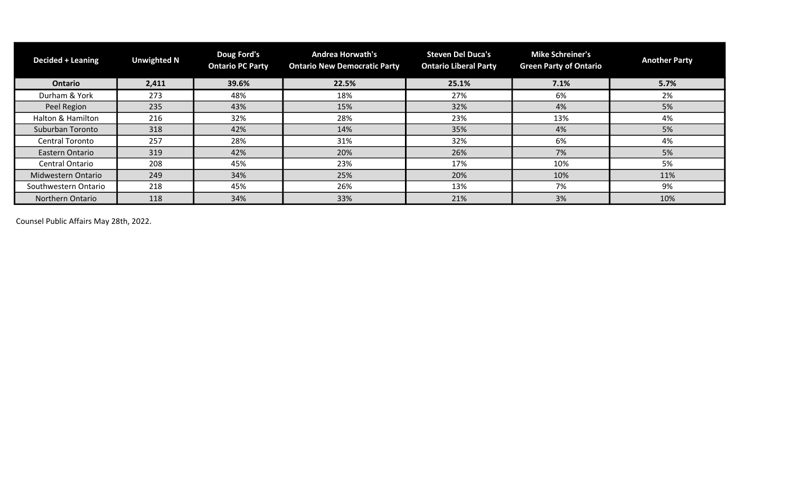| <b>Decided + Leaning</b> | <b>Unwighted N</b> | Doug Ford's<br><b>Ontario PC Party</b> | <b>Andrea Horwath's</b><br><b>Ontario New Democratic Party</b> | <b>Steven Del Duca's</b><br><b>Ontario Liberal Party</b> | <b>Mike Schreiner's</b><br><b>Green Party of Ontario</b> | <b>Another Party</b> |
|--------------------------|--------------------|----------------------------------------|----------------------------------------------------------------|----------------------------------------------------------|----------------------------------------------------------|----------------------|
| <b>Ontario</b>           | 2,411              | 39.6%                                  | 22.5%                                                          | 25.1%                                                    | 7.1%                                                     | 5.7%                 |
| Durham & York            | 273                | 48%                                    | 18%                                                            | 27%                                                      | 6%                                                       | 2%                   |
| Peel Region              | 235                | 43%                                    | 15%                                                            | 32%                                                      | 4%                                                       | 5%                   |
| Halton & Hamilton        | 216                | 32%                                    | 28%                                                            | 23%                                                      | 13%                                                      | 4%                   |
| Suburban Toronto         | 318                | 42%                                    | 14%                                                            | 35%                                                      | 4%                                                       | 5%                   |
| <b>Central Toronto</b>   | 257                | 28%                                    | 31%                                                            | 32%                                                      | 6%                                                       | 4%                   |
| Eastern Ontario          | 319                | 42%                                    | 20%                                                            | 26%                                                      | 7%                                                       | 5%                   |
| <b>Central Ontario</b>   | 208                | 45%                                    | 23%                                                            | 17%                                                      | 10%                                                      | 5%                   |
| Midwestern Ontario       | 249                | 34%                                    | 25%                                                            | 20%                                                      | 10%                                                      | 11%                  |
| Southwestern Ontario     | 218                | 45%                                    | 26%                                                            | 13%                                                      | 7%                                                       | 9%                   |
| Northern Ontario         | 118                | 34%                                    | 33%                                                            | 21%                                                      | 3%                                                       | 10%                  |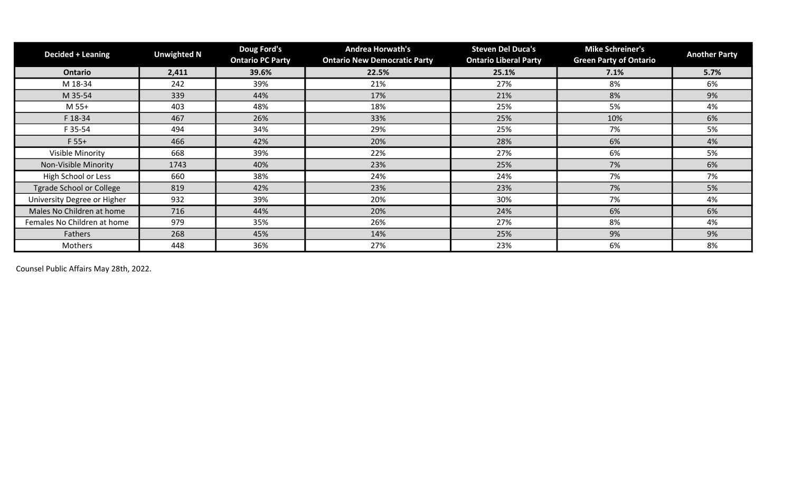| <b>Decided + Leaning</b>        | <b>Unwighted N</b> | Doug Ford's<br><b>Ontario PC Party</b> | <b>Andrea Horwath's</b><br><b>Ontario New Democratic Party</b> | <b>Steven Del Duca's</b><br><b>Ontario Liberal Party</b> | <b>Mike Schreiner's</b><br><b>Green Party of Ontario</b> | <b>Another Party</b> |
|---------------------------------|--------------------|----------------------------------------|----------------------------------------------------------------|----------------------------------------------------------|----------------------------------------------------------|----------------------|
| <b>Ontario</b>                  | 2,411              | 39.6%                                  | 22.5%                                                          | 25.1%                                                    | 7.1%                                                     | 5.7%                 |
| M 18-34                         | 242                | 39%                                    | 21%                                                            | 27%                                                      | 8%                                                       | 6%                   |
| M 35-54                         | 339                | 44%                                    | 17%                                                            | 21%                                                      | 8%                                                       | 9%                   |
| M 55+                           | 403                | 48%                                    | 18%                                                            | 25%                                                      | 5%                                                       | 4%                   |
| F 18-34                         | 467                | 26%                                    | 33%                                                            | 25%                                                      | 10%                                                      | 6%                   |
| F 35-54                         | 494                | 34%                                    | 29%                                                            | 25%                                                      | 7%                                                       | 5%                   |
| $F 55+$                         | 466                | 42%                                    | 20%                                                            | 28%                                                      | 6%                                                       | 4%                   |
| Visible Minority                | 668                | 39%                                    | 22%                                                            | 27%                                                      | 6%                                                       | 5%                   |
| Non-Visible Minority            | 1743               | 40%                                    | 23%                                                            | 25%                                                      | 7%                                                       | 6%                   |
| High School or Less             | 660                | 38%                                    | 24%                                                            | 24%                                                      | 7%                                                       | 7%                   |
| <b>Tgrade School or College</b> | 819                | 42%                                    | 23%                                                            | 23%                                                      | 7%                                                       | 5%                   |
| University Degree or Higher     | 932                | 39%                                    | 20%                                                            | 30%                                                      | 7%                                                       | 4%                   |
| Males No Children at home       | 716                | 44%                                    | 20%                                                            | 24%                                                      | 6%                                                       | 6%                   |
| Females No Children at home     | 979                | 35%                                    | 26%                                                            | 27%                                                      | 8%                                                       | 4%                   |
| Fathers                         | 268                | 45%                                    | 14%                                                            | 25%                                                      | 9%                                                       | 9%                   |
| Mothers                         | 448                | 36%                                    | 27%                                                            | 23%                                                      | 6%                                                       | 8%                   |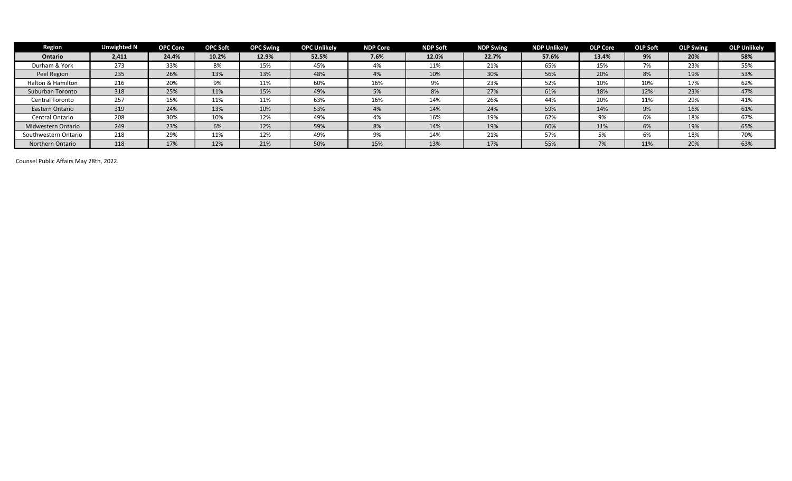| <b>Region</b>        | <b>Unwighted N</b> | <b>OPC Core</b> | <b>OPC Soft</b> | <b>OPC Swing</b> | <b>OPC Unlikely</b> | <b>NDP Core</b> | <b>NDP Soft</b> | <b>NDP Swing</b> | <b>NDP Unlikely</b> | <b>OLP Core</b> | <b>OLP Soft</b> | <b>OLP Swing</b> | <b>OLP Unlikely</b> |
|----------------------|--------------------|-----------------|-----------------|------------------|---------------------|-----------------|-----------------|------------------|---------------------|-----------------|-----------------|------------------|---------------------|
| <b>Ontario</b>       | 2,411              | 24.4%           | 10.2%           | 12.9%            | 52.5%               | 7.6%            | 12.0%           | 22.7%            | 57.6%               | 13.4%           | 9%              | 20%              | 58%                 |
| Durham & York        | 273                | 33%             | 8%              | 15%              | 45%                 | 4%              | 11%             | 21%              | 65%                 | 15%             | 7%              | 23%              | 55%                 |
| Peel Region          | 235                | 26%             | 13%             | 13%              | 48%                 | 4%              | 10%             | 30%              | 56%                 | 20%             | 8%              | 19%              | 53%                 |
| Halton & Hamilton    | 216                | 20%             | 9%              | 11%              | 60%                 | 16%             | 9%              | 23%              | 52%                 | 10%             | 10%             | 17%              | 62%                 |
| Suburban Toronto     | 318                | 25%             | 11%             | 15%              | 49%                 | 5%              | 8%              | 27%              | 61%                 | 18%             | 12%             | 23%              | 47%                 |
| Central Toronto      | 257                | 15%             | 11%             | 11%              | 63%                 | 16%             | 14%             | 26%              | 44%                 | 20%             | 11%             | 29%              | 41%                 |
| Eastern Ontario      | 319                | 24%             | 13%             | 10%              | 53%                 | 4%              | 14%             | 24%              | 59%                 | 14%             | 9%              | 16%              | 61%                 |
| Central Ontario      | 208                | 30%             | 10%             | 12%              | 49%                 | 4%              | 16%             | 19%              | 62%                 | 9%              | 6%              | 18%              | 67%                 |
| Midwestern Ontario   | 249                | 23%             | 6%              | 12%              | 59%                 | 8%              | 14%             | 19%              | 60%                 | 11%             | 6%              | 19%              | 65%                 |
| Southwestern Ontario | 218                | 29%             | 11%             | 12%              | 49%                 | 9%              | 14%             | 21%              | 57%                 | 5%              | 6%              | 18%              | 70%                 |
| Northern Ontario     | 118                | 17%             | 12%             | 21%              | 50%                 | 15%             | 13%             | 17%              | 55%                 | 7%              | 11%             | 20%              | 63%                 |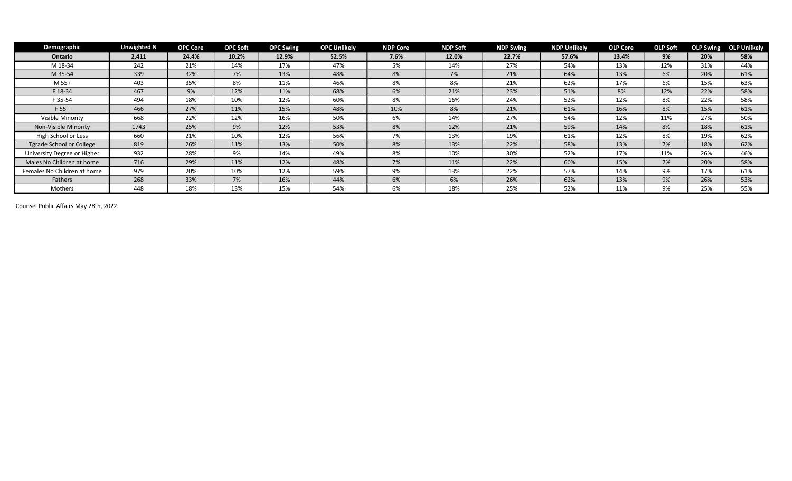| Demographic                 | <b>Unwighted N</b> | <b>OPC Core</b> | <b>OPC Soft</b> | <b>OPC Swing</b> | <b>OPC Unlikely</b> | <b>NDP Core</b> | <b>NDP Soft</b> | <b>NDP Swing</b> | <b>NDP Unlikely</b> | <b>OLP Core</b> | <b>OLP Soft</b> |     | <b>OLP Swing OLP Unlikely</b> |
|-----------------------------|--------------------|-----------------|-----------------|------------------|---------------------|-----------------|-----------------|------------------|---------------------|-----------------|-----------------|-----|-------------------------------|
| Ontario                     | 2,411              | 24.4%           | 10.2%           | 12.9%            | 52.5%               | 7.6%            | 12.0%           | 22.7%            | 57.6%               | 13.4%           | 9%              | 20% | 58%                           |
| M 18-34                     | 242                | 21%             | 14%             | 17%              | 47%                 | 5%              | 14%             | 27%              | 54%                 | 13%             | 12%             | 31% | 44%                           |
| M 35-54                     | 339                | 32%             | 7%              | 13%              | 48%                 | 8%              | 7%              | 21%              | 64%                 | 13%             | 6%              | 20% | 61%                           |
| M 55+                       | 403                | 35%             | 8%              | 11%              | 46%                 | 8%              | 8%              | 21%              | 62%                 | 17%             | 6%              | 15% | 63%                           |
| F 18-34                     | 467                | 9%              | 12%             | 11%              | 68%                 | 6%              | 21%             | 23%              | 51%                 | 8%              | 12%             | 22% | 58%                           |
| F 35-54                     | 494                | 18%             | 10%             | 12%              | 60%                 | 8%              | 16%             | 24%              | 52%                 | 12%             | 8%              | 22% | 58%                           |
| $F 55+$                     | 466                | 27%             | 11%             | 15%              | 48%                 | 10%             | 8%              | 21%              | 61%                 | 16%             | 8%              | 15% | 61%                           |
| Visible Minority            | 668                | 22%             | 12%             | 16%              | 50%                 | 6%              | 14%             | 27%              | 54%                 | 12%             | 11%             | 27% | 50%                           |
| Non-Visible Minority        | 1743               | 25%             | 9%              | 12%              | 53%                 | 8%              | 12%             | 21%              | 59%                 | 14%             | 8%              | 18% | 61%                           |
| High School or Less         | 660                | 21%             | 10%             | 12%              | 56%                 | 7%              | 13%             | 19%              | 61%                 | 12%             | 8%              | 19% | 62%                           |
| Tgrade School or College    | 819                | 26%             | 11%             | 13%              | 50%                 | 8%              | 13%             | 22%              | 58%                 | 13%             | 7%              | 18% | 62%                           |
| University Degree or Higher | 932                | 28%             | 9%              | 14%              | 49%                 | 8%              | 10%             | 30%              | 52%                 | 17%             | 11%             | 26% | 46%                           |
| Males No Children at home   | 716                | 29%             | 11%             | 12%              | 48%                 | 7%              | 11%             | 22%              | 60%                 | 15%             | 7%              | 20% | 58%                           |
| Females No Children at home | 979                | 20%             | 10%             | 12%              | 59%                 | 9%              | 13%             | 22%              | 57%                 | 14%             | 9%              | 17% | 61%                           |
| Fathers                     | 268                | 33%             | 7%              | 16%              | 44%                 | 6%              | 6%              | 26%              | 62%                 | 13%             | 9%              | 26% | 53%                           |
| Mothers                     | 448                | 18%             | 13%             | 15%              | 54%                 | 6%              | 18%             | 25%              | 52%                 | 11%             | 9%              | 25% | 55%                           |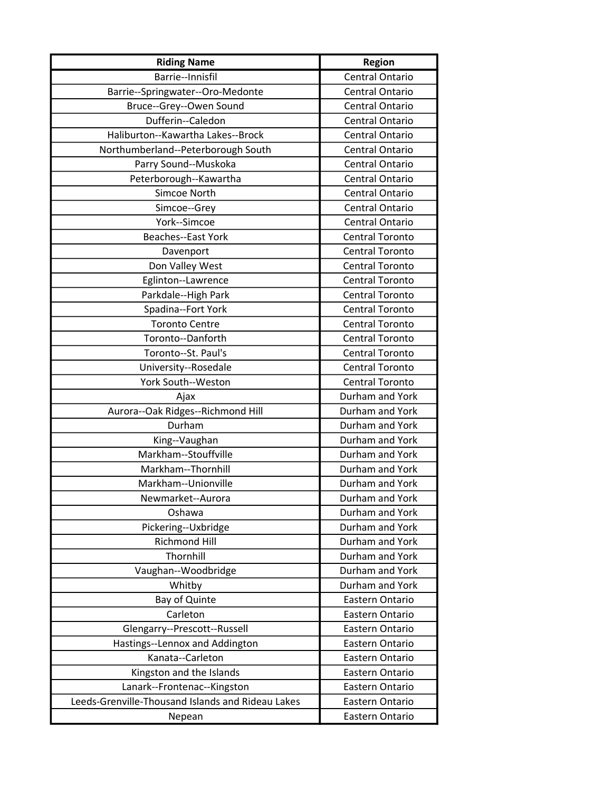| <b>Riding Name</b>                                | <b>Region</b>          |
|---------------------------------------------------|------------------------|
| Barrie--Innisfil                                  | <b>Central Ontario</b> |
| Barrie--Springwater--Oro-Medonte                  | <b>Central Ontario</b> |
| Bruce--Grey--Owen Sound                           | <b>Central Ontario</b> |
| Dufferin--Caledon                                 | <b>Central Ontario</b> |
| Haliburton--Kawartha Lakes--Brock                 | Central Ontario        |
| Northumberland--Peterborough South                | Central Ontario        |
| Parry Sound--Muskoka                              | <b>Central Ontario</b> |
| Peterborough--Kawartha                            | <b>Central Ontario</b> |
| Simcoe North                                      | <b>Central Ontario</b> |
| Simcoe--Grey                                      | <b>Central Ontario</b> |
| York--Simcoe                                      | Central Ontario        |
| <b>Beaches--East York</b>                         | <b>Central Toronto</b> |
| Davenport                                         | <b>Central Toronto</b> |
| Don Valley West                                   | <b>Central Toronto</b> |
| Eglinton--Lawrence                                | <b>Central Toronto</b> |
| Parkdale--High Park                               | <b>Central Toronto</b> |
| Spadina--Fort York                                | <b>Central Toronto</b> |
| <b>Toronto Centre</b>                             | <b>Central Toronto</b> |
| Toronto--Danforth                                 | <b>Central Toronto</b> |
| Toronto--St. Paul's                               | <b>Central Toronto</b> |
| University--Rosedale                              | <b>Central Toronto</b> |
| York South--Weston                                | <b>Central Toronto</b> |
| Ajax                                              | Durham and York        |
| Aurora--Oak Ridges--Richmond Hill                 | Durham and York        |
| Durham                                            | Durham and York        |
| King--Vaughan                                     | Durham and York        |
| Markham--Stouffville                              | Durham and York        |
| Markham--Thornhill                                | Durham and York        |
| Markham--Unionville                               | Durham and York        |
| Newmarket--Aurora                                 | Durham and York        |
| Oshawa                                            | Durham and York        |
| Pickering--Uxbridge                               | Durham and York        |
| <b>Richmond Hill</b>                              | Durham and York        |
| Thornhill                                         | Durham and York        |
| Vaughan--Woodbridge                               | Durham and York        |
| Whitby                                            | Durham and York        |
| Bay of Quinte                                     | Eastern Ontario        |
| Carleton                                          | Eastern Ontario        |
| Glengarry--Prescott--Russell                      | Eastern Ontario        |
| Hastings--Lennox and Addington                    | Eastern Ontario        |
| Kanata--Carleton                                  | Eastern Ontario        |
| Kingston and the Islands                          | Eastern Ontario        |
| Lanark--Frontenac--Kingston                       | Eastern Ontario        |
| Leeds-Grenville-Thousand Islands and Rideau Lakes | Eastern Ontario        |
| Nepean                                            | Eastern Ontario        |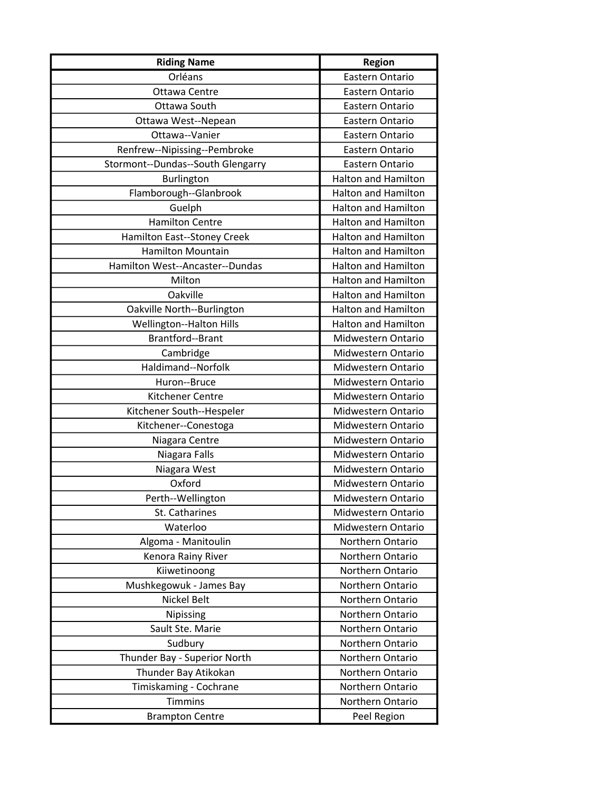| <b>Riding Name</b>                | <b>Region</b>              |
|-----------------------------------|----------------------------|
| Orléans                           | Eastern Ontario            |
| Ottawa Centre                     | Eastern Ontario            |
| Ottawa South                      | Eastern Ontario            |
| Ottawa West--Nepean               | Eastern Ontario            |
| Ottawa--Vanier                    | Eastern Ontario            |
| Renfrew--Nipissing--Pembroke      | Eastern Ontario            |
| Stormont--Dundas--South Glengarry | Eastern Ontario            |
| Burlington                        | <b>Halton and Hamilton</b> |
| Flamborough--Glanbrook            | <b>Halton and Hamilton</b> |
| Guelph                            | <b>Halton and Hamilton</b> |
| <b>Hamilton Centre</b>            | <b>Halton and Hamilton</b> |
| Hamilton East--Stoney Creek       | <b>Halton and Hamilton</b> |
| Hamilton Mountain                 | <b>Halton and Hamilton</b> |
| Hamilton West--Ancaster--Dundas   | <b>Halton and Hamilton</b> |
| Milton                            | <b>Halton and Hamilton</b> |
| Oakville                          | <b>Halton and Hamilton</b> |
| Oakville North--Burlington        | <b>Halton and Hamilton</b> |
| <b>Wellington--Halton Hills</b>   | <b>Halton and Hamilton</b> |
| Brantford--Brant                  | Midwestern Ontario         |
| Cambridge                         | Midwestern Ontario         |
| Haldimand--Norfolk                | Midwestern Ontario         |
| Huron--Bruce                      | Midwestern Ontario         |
| Kitchener Centre                  | Midwestern Ontario         |
| Kitchener South--Hespeler         | Midwestern Ontario         |
| Kitchener--Conestoga              | Midwestern Ontario         |
| Niagara Centre                    | Midwestern Ontario         |
| Niagara Falls                     | Midwestern Ontario         |
| Niagara West                      | Midwestern Ontario         |
| Oxford                            | Midwestern Ontario         |
| Perth--Wellington                 | Midwestern Ontario         |
| St. Catharines                    | Midwestern Ontario         |
| Waterloo                          | Midwestern Ontario         |
| Algoma - Manitoulin               | Northern Ontario           |
| Kenora Rainy River                | Northern Ontario           |
| Kiiwetinoong                      | Northern Ontario           |
| Mushkegowuk - James Bay           | Northern Ontario           |
| Nickel Belt                       | Northern Ontario           |
| Nipissing                         | Northern Ontario           |
| Sault Ste. Marie                  | Northern Ontario           |
| Sudbury                           | Northern Ontario           |
| Thunder Bay - Superior North      | Northern Ontario           |
| Thunder Bay Atikokan              | Northern Ontario           |
| Timiskaming - Cochrane            | Northern Ontario           |
| <b>Timmins</b>                    | Northern Ontario           |
| <b>Brampton Centre</b>            | Peel Region                |